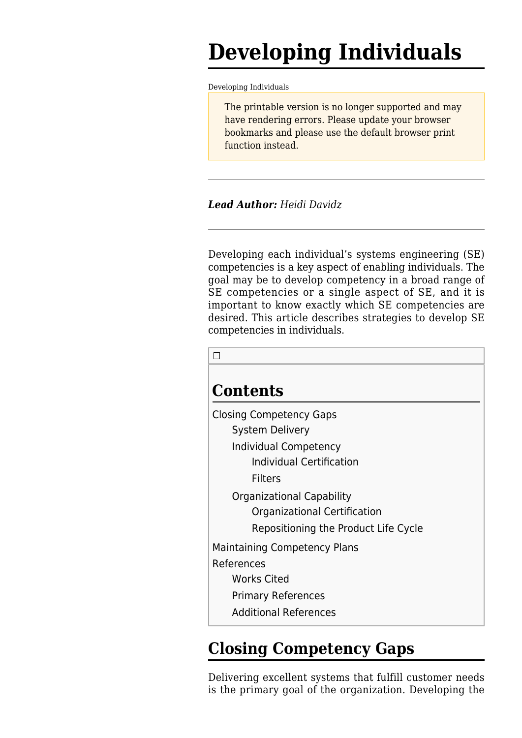# **Developing Individuals**

[Developing Individuals](http://sandbox.sebokwiki.org/Developing_Individuals)

The printable version is no longer supported and may have rendering errors. Please update your browser bookmarks and please use the default browser print function instead.

*Lead Author: Heidi Davidz*

Developing each individual's systems engineering (SE) competencies is a key aspect of [enabling individuals](http://sandbox.sebokwiki.org/Enabling_Individuals). The goal may be to develop competency in a broad range of SE competencies or a single aspect of SE, and it is important to know exactly which SE competencies are desired. This article describes strategies to develop SE competencies in individuals.

|--|

# **Contents** [Closing Competency Gaps](#page--1-0) [System Delivery](#page--1-0) [Individual Competency](#page--1-0) [Individual Certification](#page--1-0) [Filters](#page--1-0) [Organizational Capability](#page--1-0) [Organizational Certification](#page--1-0) [Repositioning the Product Life Cycle](#page--1-0) [Maintaining Competency Plans](#page--1-0) [References](#page--1-0) [Works Cited](#page--1-0) [Primary References](#page--1-0) [Additional References](#page--1-0)

# **Closing Competency Gaps**

Delivering excellent systems that fulfill customer needs is the primary goal of the organization. Developing the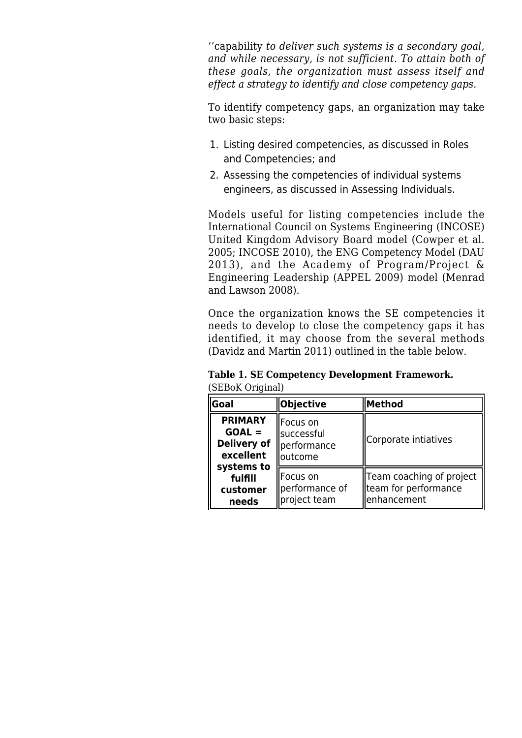''capability *to deliver such systems is a secondary goal, and while necessary, is not sufficient. To attain both of these goals, the organization must assess itself and effect a strategy to identify and close competency gaps.*

To identify competency gaps, an organization may take two basic steps:

- 1. Listing desired competencies, as discussed in [Roles](http://sandbox.sebokwiki.org/Roles_and_Competencies) [and Competencies;](http://sandbox.sebokwiki.org/Roles_and_Competencies) and
- 2. Assessing the competencies of individual systems engineers, as discussed in [Assessing Individuals.](http://sandbox.sebokwiki.org/Assessing_Individuals)

Models useful for listing competencies include the International Council on Systems Engineering (INCOSE) United Kingdom Advisory Board model (Cowper et al. 2005; INCOSE 2010), the ENG Competency Model (DAU 2013), and the Academy of Program/Project & Engineering Leadership (APPEL 2009) model (Menrad and Lawson 2008).

Once the organization knows the SE competencies it needs to develop to close the competency gaps it has identified, it may choose from the several methods (Davidz and Martin 2011) outlined in the table below.

| $ $ Goal                                                      | Objective                                           | <b>Method</b>                                                    |
|---------------------------------------------------------------|-----------------------------------------------------|------------------------------------------------------------------|
| <b>PRIMARY</b><br>$GOAL =$<br><b>Delivery of</b><br>excellent | llFocus on<br>successful<br>performance<br>loutcome | Corporate intiatives                                             |
| systems to<br>fulfill<br>customer<br>needs                    | llFocus on<br>performance of<br>project team        | Team coaching of project<br>team for performance<br>lenhancement |

**Table 1. SE Competency Development Framework.** (SEBoK Original)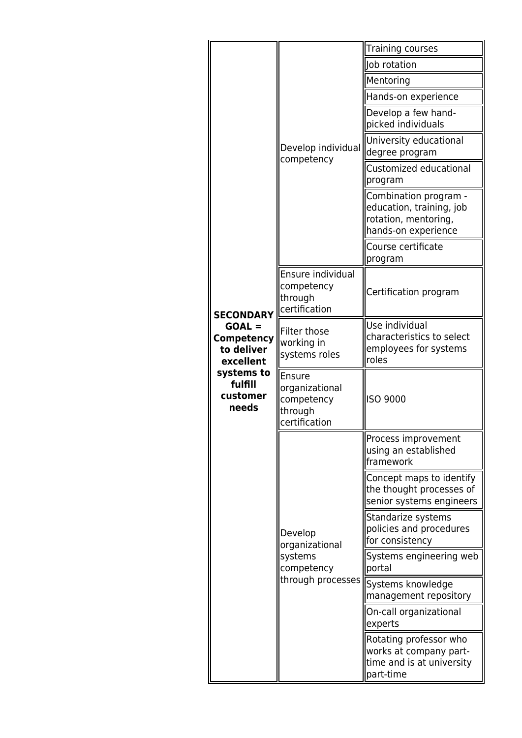| <b>SECONDARY</b><br>$GOAL =$<br>Competency<br>to deliver<br>excellent<br>systems to<br>fulfill<br>customer<br>needs | Develop individual<br>competency                                        | Training courses                                                                                 |
|---------------------------------------------------------------------------------------------------------------------|-------------------------------------------------------------------------|--------------------------------------------------------------------------------------------------|
|                                                                                                                     |                                                                         | Job rotation                                                                                     |
|                                                                                                                     |                                                                         | Mentoring                                                                                        |
|                                                                                                                     |                                                                         | Hands-on experience                                                                              |
|                                                                                                                     |                                                                         | Develop a few hand-<br>picked individuals                                                        |
|                                                                                                                     |                                                                         | University educational<br>degree program                                                         |
|                                                                                                                     |                                                                         | Customized educational<br>program                                                                |
|                                                                                                                     |                                                                         | Combination program -<br>education, training, job<br>rotation, mentoring,<br>hands-on experience |
|                                                                                                                     |                                                                         | Course certificate<br>program                                                                    |
|                                                                                                                     | Ensure individual<br>competency<br>through<br>certification             | Certification program                                                                            |
|                                                                                                                     | Filter those<br>working in<br>systems roles                             | Use individual<br>characteristics to select<br>employees for systems<br>roles                    |
|                                                                                                                     | Ensure<br>organizational<br>competency<br>through<br>certification      | <b>ISO 9000</b>                                                                                  |
|                                                                                                                     | Develop<br>organizational<br>systems<br>competency<br>through processes | Process improvement<br>using an established<br>framework                                         |
|                                                                                                                     |                                                                         | Concept maps to identify<br>the thought processes of<br>senior systems engineers                 |
|                                                                                                                     |                                                                         | Standarize systems<br>policies and procedures<br>for consistency                                 |
|                                                                                                                     |                                                                         | Systems engineering web<br>portal                                                                |
|                                                                                                                     |                                                                         | Systems knowledge<br>management repository                                                       |
|                                                                                                                     |                                                                         | On-call organizational<br>experts                                                                |
|                                                                                                                     |                                                                         | Rotating professor who<br>works at company part-<br>time and is at university<br>part-time       |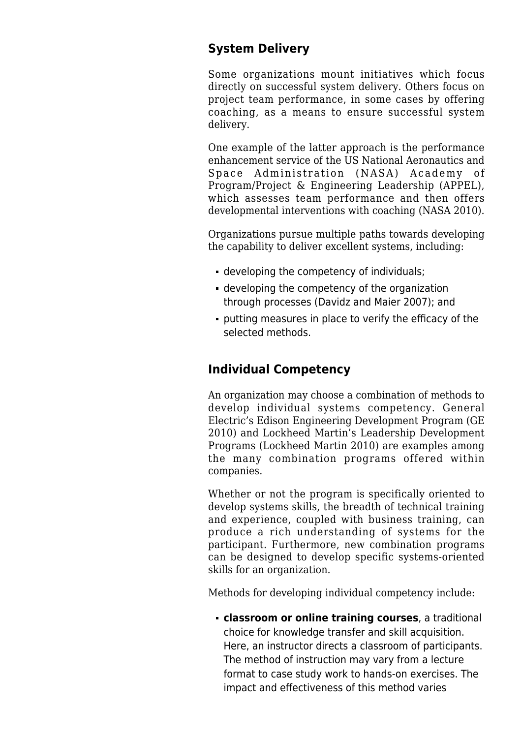# **System Delivery**

Some organizations mount initiatives which focus directly on successful system delivery. Others focus on project team performance, in some cases by offering coaching, as a means to ensure successful system delivery.

One example of the latter approach is the performance enhancement service of the US National Aeronautics and Space Administration (NASA) Academy of Program/Project & Engineering Leadership (APPEL), which assesses team performance and then offers developmental interventions with coaching (NASA 2010).

Organizations pursue multiple paths towards developing the capability to deliver excellent systems, including:

- developing the competency of individuals;
- developing the competency of the organization through processes (Davidz and Maier 2007); and
- putting measures in place to verify the efficacy of the selected methods.

### **Individual Competency**

An organization may choose a combination of methods to develop individual systems competency. General Electric's Edison Engineering Development Program (GE 2010) and Lockheed Martin's Leadership Development Programs (Lockheed Martin 2010) are examples among the many combination programs offered within companies.

Whether or not the program is specifically oriented to develop systems skills, the breadth of technical training and experience, coupled with business training, can produce a rich understanding of systems for the participant. Furthermore, new combination programs can be designed to develop specific systems-oriented skills for an organization.

Methods for developing individual competency include:

**classroom or online training courses**, a traditional choice for knowledge transfer and skill acquisition. Here, an instructor directs a classroom of participants. The method of instruction may vary from a lecture format to case study work to hands-on exercises. The impact and effectiveness of this method varies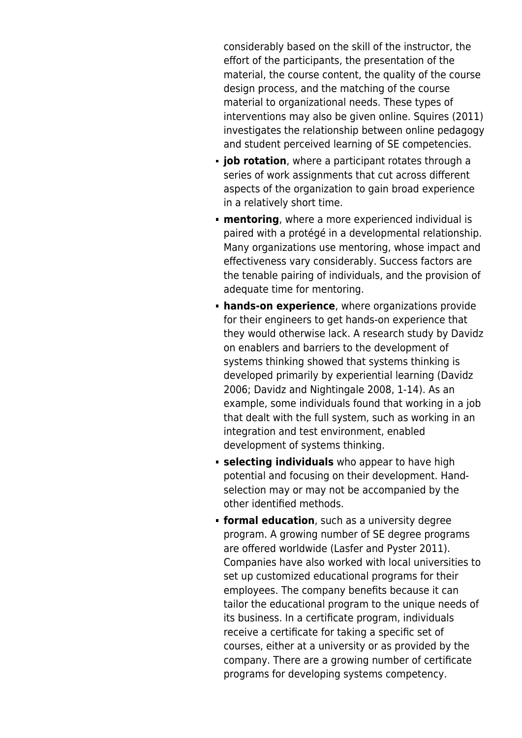considerably based on the skill of the instructor, the effort of the participants, the presentation of the material, the course content, the quality of the course design process, and the matching of the course material to organizational needs. These types of interventions may also be given online. Squires (2011) investigates the relationship between online pedagogy and student perceived learning of SE competencies.

- **job rotation**, where a participant rotates through a series of work assignments that cut across different aspects of the organization to gain broad experience in a relatively short time.
- **mentoring**, where a more experienced individual is paired with a protégé in a developmental relationship. Many organizations use mentoring, whose impact and effectiveness vary considerably. Success factors are the tenable pairing of individuals, and the provision of adequate time for mentoring.
- **hands-on experience**, where organizations provide for their engineers to get hands-on experience that they would otherwise lack. A research study by Davidz on enablers and barriers to the development of systems thinking showed that systems thinking is developed primarily by experiential learning (Davidz 2006; Davidz and Nightingale 2008, 1-14). As an example, some individuals found that working in a job that dealt with the full system, such as working in an integration and test environment, enabled development of systems thinking.
- **selecting individuals** who appear to have high potential and focusing on their development. Handselection may or may not be accompanied by the other identified methods.
- **formal education**, such as a university degree program. A growing number of SE degree programs are offered worldwide (Lasfer and Pyster 2011). Companies have also worked with local universities to set up customized educational programs for their employees. The company benefits because it can tailor the educational program to the unique needs of its business. In a certificate program, individuals receive a certificate for taking a specific set of courses, either at a university or as provided by the company. There are a growing number of certificate programs for developing systems competency.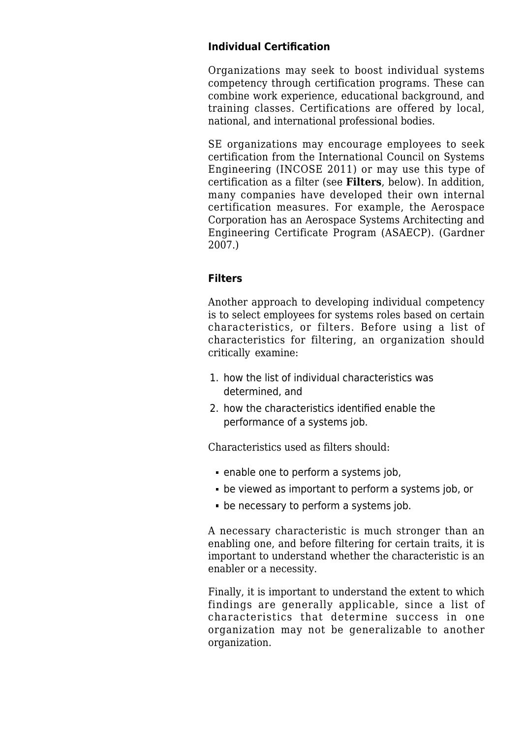#### **Individual Certification**

Organizations may seek to boost individual systems competency through certification programs. These can combine work experience, educational background, and training classes. Certifications are offered by local, national, and international professional bodies.

SE organizations may encourage employees to seek certification from the International Council on Systems Engineering (INCOSE 2011) or may use this type of certification as a filter (see **Filters**, below). In addition, many companies have developed their own internal certification measures. For example, the Aerospace Corporation has an Aerospace Systems Architecting and Engineering Certificate Program (ASAECP). (Gardner 2007.)

#### **Filters**

Another approach to developing individual competency is to select employees for systems roles based on certain characteristics, or filters. Before using a list of characteristics for filtering, an organization should critically examine:

- 1. how the list of individual characteristics was determined, and
- 2. how the characteristics identified enable the performance of a systems job.

Characteristics used as filters should:

- enable one to perform a systems job,
- be viewed as important to perform a systems job, or
- be necessary to perform a systems job.

A necessary characteristic is much stronger than an enabling one, and before filtering for certain traits, it is important to understand whether the characteristic is an enabler or a necessity.

Finally, it is important to understand the extent to which findings are generally applicable, since a list of characteristics that determine success in one organization may not be generalizable to another organization.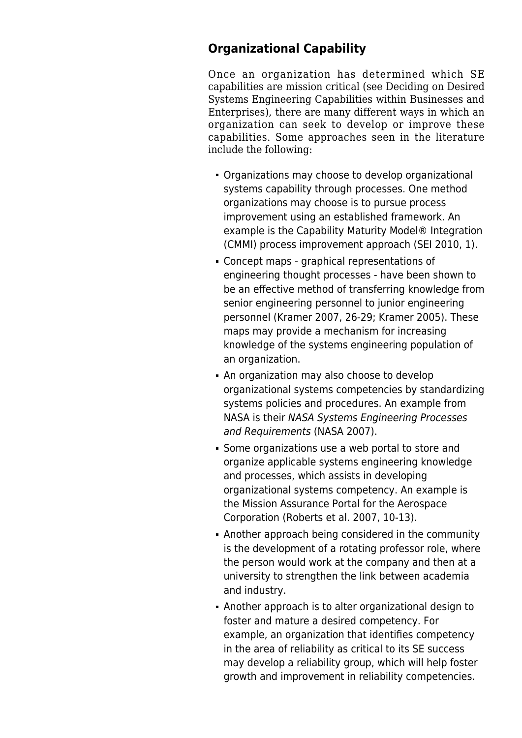# **Organizational Capability**

Once an organization has determined which SE capabilities are mission critical (see [Deciding on Desired](http://sandbox.sebokwiki.org/Deciding_on_Desired_Systems_Engineering_Capabilities_within_Businesses_and_Enterprises) [Systems Engineering Capabilities within Businesses and](http://sandbox.sebokwiki.org/Deciding_on_Desired_Systems_Engineering_Capabilities_within_Businesses_and_Enterprises) [Enterprises](http://sandbox.sebokwiki.org/Deciding_on_Desired_Systems_Engineering_Capabilities_within_Businesses_and_Enterprises)), there are many different ways in which an organization can seek to develop or improve these capabilities. Some approaches seen in the literature include the following:

- Organizations may choose to develop organizational systems capability through processes. One method organizations may choose is to pursue process improvement using an established framework. An example is the Capability Maturity Model® Integration (CMMI) process improvement approach (SEI 2010, 1).
- Concept maps graphical representations of engineering thought processes - have been shown to be an effective method of transferring knowledge from senior engineering personnel to junior engineering personnel (Kramer 2007, 26-29; Kramer 2005). These maps may provide a mechanism for increasing knowledge of the systems engineering population of an organization.
- An organization may also choose to develop organizational systems competencies by standardizing systems policies and procedures. An example from NASA is their NASA Systems Engineering Processes and Requirements (NASA 2007).
- Some organizations use a web portal to store and organize applicable systems engineering knowledge and processes, which assists in developing organizational systems competency. An example is the Mission Assurance Portal for the Aerospace Corporation (Roberts et al. 2007, 10-13).
- Another approach being considered in the community is the development of a rotating professor role, where the person would work at the company and then at a university to strengthen the link between academia and industry.
- Another approach is to alter organizational design to foster and mature a desired competency. For example, an organization that identifies competency in the area of reliability as critical to its SE success may develop a reliability group, which will help foster growth and improvement in reliability competencies.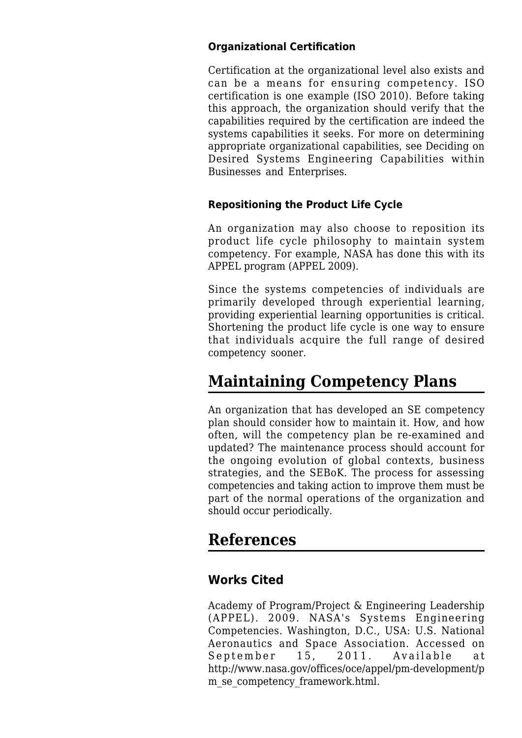#### **Organizational Certification**

Certification at the organizational level also exists and can be a means for ensuring competency. ISO certification is one example (ISO 2010). Before taking this approach, the organization should verify that the capabilities required by the certification are indeed the systems capabilities it seeks. For more on determining appropriate organizational capabilities, see [Deciding on](http://sandbox.sebokwiki.org/Deciding_on_Desired_Systems_Engineering_Capabilities_within_Businesses_and_Enterprises) [Desired Systems Engineering Capabilities within](http://sandbox.sebokwiki.org/Deciding_on_Desired_Systems_Engineering_Capabilities_within_Businesses_and_Enterprises) [Businesses and Enterprises.](http://sandbox.sebokwiki.org/Deciding_on_Desired_Systems_Engineering_Capabilities_within_Businesses_and_Enterprises)

#### **Repositioning the Product Life Cycle**

An organization may also choose to reposition its product life cycle philosophy to maintain system competency. For example, NASA has done this with its APPEL program (APPEL 2009).

Since the systems competencies of individuals are primarily developed through experiential learning, providing experiential learning opportunities is critical. Shortening the product life cycle is one way to ensure that individuals acquire the full range of desired competency sooner.

# **Maintaining Competency Plans**

An organization that has developed an SE competency plan should consider how to maintain it. How, and how often, will the competency plan be re-examined and updated? The maintenance process should account for the ongoing evolution of global contexts, business strategies, and the SEBoK. The process for assessing competencies and taking action to improve them must be part of the normal operations of the organization and should occur periodically.

# **References**

### **Works Cited**

Academy of Program/Project & Engineering Leadership (APPEL). 2009. [NASA's Systems Engineering](http://sandbox.sebokwiki.org/NASA%27s_Systems_Engineering_Competencies) [Competencies.](http://sandbox.sebokwiki.org/NASA%27s_Systems_Engineering_Competencies) Washington, D.C., USA: U.S. National Aeronautics and Space Association. Accessed on September 15, 2011. Available at [http://www.nasa.gov/offices/oce/appel/pm-development/p](http://www.nasa.gov/offices/oce/appel/pm-development/pm_se_competency_framework.html) m se competency framework.html.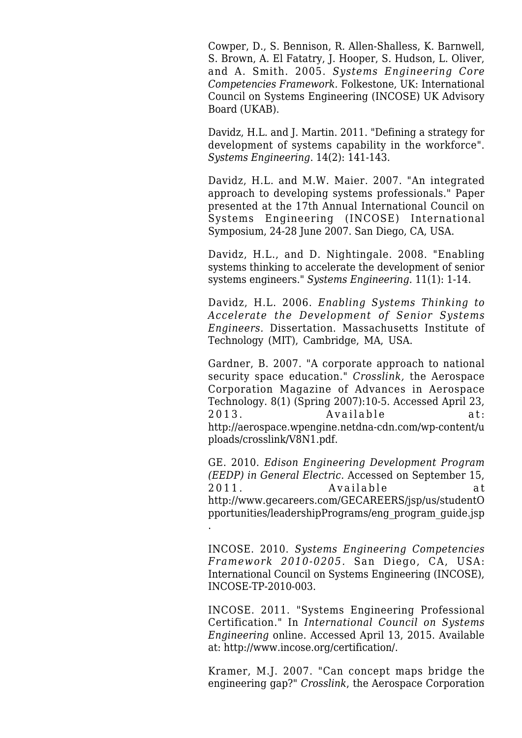Cowper, D., S. Bennison, R. Allen-Shalless, K. Barnwell, S. Brown, A. El Fatatry, J. Hooper, S. Hudson, L. Oliver, and A. Smith. 2005. *Systems Engineering Core Competencies Framework.* Folkestone, UK: International Council on Systems Engineering (INCOSE) UK Advisory Board (UKAB).

Davidz, H.L. and J. Martin. 2011. "[Defining a strategy for](http://sandbox.sebokwiki.org/Defining_a_Strategy_for_Development_of_Systems_Capability_in_the_Workforce) [development of systems capability in the workforce](http://sandbox.sebokwiki.org/Defining_a_Strategy_for_Development_of_Systems_Capability_in_the_Workforce)". *Systems Engineering*. 14(2): 141-143.

Davidz, H.L. and M.W. Maier. 2007. "[An integrated](http://sandbox.sebokwiki.org/An_Integrated_Approach_to_Developing_Systems_Professionals) [approach to developing systems professionals.](http://sandbox.sebokwiki.org/An_Integrated_Approach_to_Developing_Systems_Professionals)" Paper presented at the 17th Annual International Council on Systems Engineering (INCOSE) International Symposium, 24-28 June 2007. San Diego, CA, USA.

Davidz, H.L., and D. Nightingale. 2008. "Enabling systems thinking to accelerate the development of senior systems engineers." *Systems Engineering*. 11(1): 1-14.

Davidz, H.L. 2006. *Enabling Systems Thinking to Accelerate the Development of Senior Systems Engineers.* Dissertation. Massachusetts Institute of Technology (MIT), Cambridge, MA, USA.

Gardner, B. 2007. "A corporate approach to national security space education." *Crosslink,* the Aerospace Corporation Magazine of Advances in Aerospace Technology. 8(1) (Spring 2007):10-5. Accessed April 23, 2013. Available at: [http://aerospace.wpengine.netdna-cdn.com/wp-content/u](http://aerospace.wpengine.netdna-cdn.com/wp-content/uploads/crosslink/V8N1.pdf) [ploads/crosslink/V8N1.pdf.](http://aerospace.wpengine.netdna-cdn.com/wp-content/uploads/crosslink/V8N1.pdf)

GE. 2010. *Edison Engineering Development Program (EEDP) in General Electric.* Accessed on September 15, 2011. Available at [http://www.gecareers.com/GECAREERS/jsp/us/studentO](http://www.gecareers.com/GECAREERS/jsp/us/studentOpportunities/leadershipPrograms/eng_program_guide.jsp) [pportunities/leadershipPrograms/eng\\_program\\_guide.jsp](http://www.gecareers.com/GECAREERS/jsp/us/studentOpportunities/leadershipPrograms/eng_program_guide.jsp) .

INCOSE. 2010. *[Systems Engineering Competencies](http://sandbox.sebokwiki.org/Systems_Engineering_Competencies_Framework_2010-0205) [Framework 2010-0205](http://sandbox.sebokwiki.org/Systems_Engineering_Competencies_Framework_2010-0205).* San Diego, CA, USA: International Council on Systems Engineering (INCOSE), INCOSE-TP-2010-003.

INCOSE. 2011. "Systems Engineering Professional Certification." In *International Council on Systems Engineering* online. Accessed April 13, 2015. Available at: [http://www.incose.org/certification/.](http://www.incose.org/certification/)

Kramer, M.J. 2007. "Can concept maps bridge the engineering gap?" *Crosslink*, the Aerospace Corporation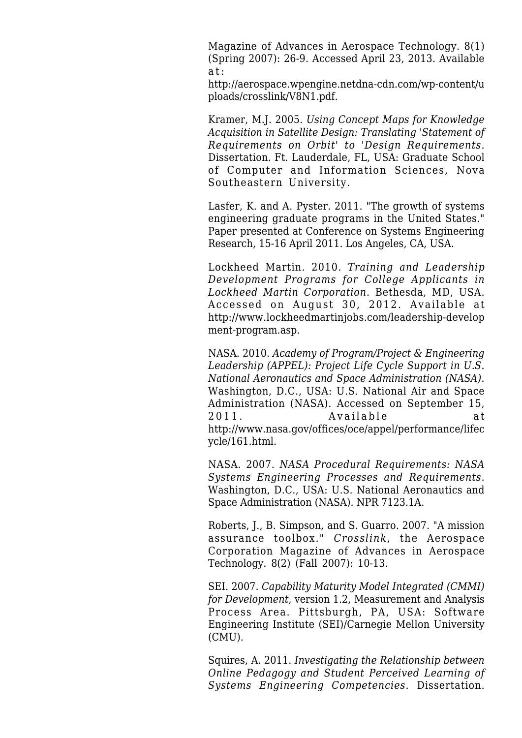Magazine of Advances in Aerospace Technology. 8(1) (Spring 2007): 26-9. Accessed April 23, 2013. Available at:

[http://aerospace.wpengine.netdna-cdn.com/wp-content/u](http://aerospace.wpengine.netdna-cdn.com/wp-content/uploads/crosslink/V8N1.pdf) [ploads/crosslink/V8N1.pdf.](http://aerospace.wpengine.netdna-cdn.com/wp-content/uploads/crosslink/V8N1.pdf)

Kramer, M.J. 2005. *Using Concept Maps for Knowledge Acquisition in Satellite Design: Translating 'Statement of Requirements on Orbit' to 'Design Requirements.* Dissertation. Ft. Lauderdale, FL, USA: Graduate School of Computer and Information Sciences, Nova Southeastern University.

Lasfer, K. and A. Pyster. 2011. "The growth of systems engineering graduate programs in the United States." Paper presented at Conference on Systems Engineering Research, 15-16 April 2011. Los Angeles, CA, USA.

Lockheed Martin. 2010. *Training and Leadership Development Programs for College Applicants in Lockheed Martin Corporation.* Bethesda, MD, USA. Accessed on August 30, 2012. Available at [http://www.lockheedmartinjobs.com/leadership-develop](http://www.lockheedmartinjobs.com/leadership-development-program.asp) [ment-program.asp.](http://www.lockheedmartinjobs.com/leadership-development-program.asp)

NASA. 2010. *Academy of Program/Project & Engineering Leadership (APPEL): Project Life Cycle Support in U.S. National Aeronautics and Space Administration (NASA).* Washington, D.C., USA: U.S. National Air and Space Administration (NASA). Accessed on September 15, 2011. Available at [http://www.nasa.gov/offices/oce/appel/performance/lifec](http://www.nasa.gov/offices/oce/appel/performance/lifecycle/161.html) [ycle/161.html](http://www.nasa.gov/offices/oce/appel/performance/lifecycle/161.html).

NASA. 2007. *NASA Procedural Requirements: NASA Systems Engineering Processes and Requirements*. Washington, D.C., USA: U.S. National Aeronautics and Space Administration (NASA). NPR 7123.1A.

Roberts, J., B. Simpson, and S. Guarro. 2007. "A mission assurance toolbox." *Crosslink*, the Aerospace Corporation Magazine of Advances in Aerospace Technology. 8(2) (Fall 2007): 10-13.

SEI. 2007. *Capability Maturity Model Integrated (CMMI) for Development*, version 1.2, Measurement and Analysis Process Area. Pittsburgh, PA, USA: Software Engineering Institute (SEI)/Carnegie Mellon University (CMU).

Squires, A. 2011. *Investigating the Relationship between Online Pedagogy and Student Perceived Learning of Systems Engineering Competencies*. Dissertation.